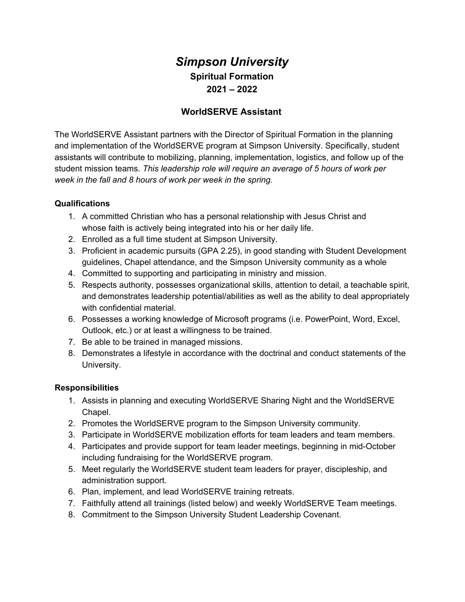# *Simpson University* **Spiritual Formation 2021 – 2022**

## **WorldSERVE Assistant**

The WorldSERVE Assistant partners with the Director of Spiritual Formation in the planning and implementation of the WorldSERVE program at Simpson University. Specifically, student assistants will contribute to mobilizing, planning, implementation, logistics, and follow up of the student mission teams. *This leadership role will require an average of 5 hours of work per week in the fall and 8 hours of work per week in the spring.*

### **Qualifications**

- 1. A committed Christian who has a personal relationship with Jesus Christ and whose faith is actively being integrated into his or her daily life.
- 2. Enrolled as a full time student at Simpson University.
- 3. Proficient in academic pursuits (GPA 2.25), in good standing with Student Development guidelines, Chapel attendance, and the Simpson University community as a whole
- 4. Committed to supporting and participating in ministry and mission.
- 5. Respects authority, possesses organizational skills, attention to detail, a teachable spirit, and demonstrates leadership potential/abilities as well as the ability to deal appropriately with confidential material.
- 6. Possesses a working knowledge of Microsoft programs (i.e. PowerPoint, Word, Excel, Outlook, etc.) or at least a willingness to be trained.
- 7. Be able to be trained in managed missions.
- 8. Demonstrates a lifestyle in accordance with the doctrinal and conduct statements of the University.

### **Responsibilities**

- 1. Assists in planning and executing WorldSERVE Sharing Night and the WorldSERVE Chapel.
- 2. Promotes the WorldSERVE program to the Simpson University community.
- 3. Participate in WorldSERVE mobilization efforts for team leaders and team members.
- 4. Participates and provide support for team leader meetings, beginning in mid-October including fundraising for the WorldSERVE program.
- 5. Meet regularly the WorldSERVE student team leaders for prayer, discipleship, and administration support.
- 6. Plan, implement, and lead WorldSERVE training retreats.
- 7. Faithfully attend all trainings (listed below) and weekly WorldSERVE Team meetings.
- 8. Commitment to the Simpson University Student Leadership Covenant.